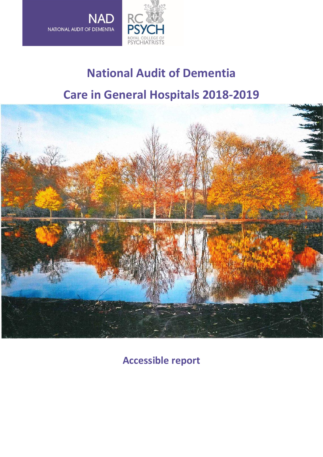

# **National Audit of Dementia Care in General Hospitals 2018-2019**



**Accessible report**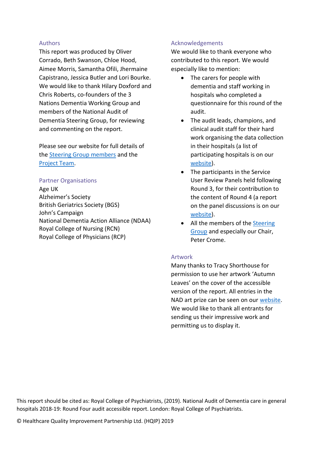#### Authors

This report was produced by Oliver Corrado, Beth Swanson, Chloe Hood, Aimee Morris, Samantha Ofili, Jhermaine Capistrano, Jessica Butler and Lori Bourke. We would like to thank Hilary Doxford and Chris Roberts, co-founders of the 3 Nations Dementia Working Group and members of the National Audit of Dementia Steering Group, for reviewing and commenting on the report.

Please see our website for full details of the [Steering Group members](https://www.rcpsych.ac.uk/docs/default-source/improving-care/ccqi/national-clinical-audits/national-audit-of-dementia/r4-resources/steering-group.pdf?sfvrsn=cfd3bfea_2) and the [Project Team.](https://www.rcpsych.ac.uk/events/improving-care/ccqi/national-clinical-audits/national-audit-of-dementia/meet-the-team)

#### Partner Organisations

Age UK Alzheimer's Society British Geriatrics Society (BGS) John's Campaign National Dementia Action Alliance (NDAA) Royal College of Nursing (RCN) Royal College of Physicians (RCP)

#### Acknowledgements

We would like to thank everyone who contributed to this report. We would especially like to mention:

- The carers for people with dementia and staff working in hospitals who completed a questionnaire for this round of the audit.
- The audit leads, champions, and clinical audit staff for their hard work organising the data collection in their hospitals (a list of participating hospitals is on our [website\)](https://www.rcpsych.ac.uk/docs/default-source/improving-care/ccqi/national-clinical-audits/national-audit-of-dementia/r4-resources/participating-hospitals-r4-formatted.pdf?sfvrsn=6ab4eaec_2).
- The participants in the Service User Review Panels held following Round 3, for their contribution to the content of Round 4 (a report on the panel discussions is on our [website\)](https://www.rcpsych.ac.uk/docs/default-source/improving-care/ccqi/national-clinical-audits/national-audit-of-dementia/round-3/national-audit-of-dementia---service-user-comments-on-the-findings-of-round-3-v.pdf?sfvrsn=eebb4613_2).
- All the members of the Steering [Group](https://www.rcpsych.ac.uk/docs/default-source/improving-care/ccqi/national-clinical-audits/national-audit-of-dementia/r4-resources/steering-group.pdf?sfvrsn=cfd3bfea_2) and especially our Chair, Peter Crome.

#### Artwork

Many thanks to Tracy Shorthouse for permission to use her artwork 'Autumn Leaves' on the cover of the accessible version of the report. All entries in the NAD art prize can be seen on our [website.](https://www.rcpsych.ac.uk/events/improving-care/ccqi/national-clinical-audits/national-audit-of-dementia/audit-round-4/art-prize-entries) We would like to thank all entrants for sending us their impressive work and permitting us to display it.

This report should be cited as: Royal College of Psychiatrists, (2019). National Audit of Dementia care in general hospitals 2018-19: Round Four audit accessible report. London: Royal College of Psychiatrists.

© Healthcare Quality Improvement Partnership Ltd. (HQIP) 2019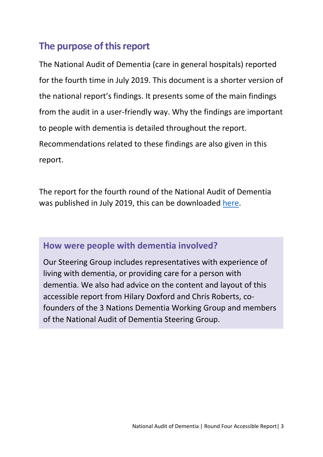## **The purpose of this report**

The National Audit of Dementia (care in general hospitals) reported for the fourth time in July 2019. This document is a shorter version of the national report's findings. It presents some of the main findings from the audit in a user-friendly way. Why the findings are important to people with dementia is detailed throughout the report. Recommendations related to these findings are also given in this report.

The report for the fourth round of the National Audit of Dementia was published in July 2019, this can be downloaded [here.](https://www.rcpsych.ac.uk/docs/default-source/improving-care/ccqi/national-clinical-audits/national-audit-of-dementia/r4-resources/national-audit-of-dementia-round-4-report-online.pdf?sfvrsn=f75c5b75_6)

### **How were people with dementia involved?**

Our [Steering Group](https://www.rcpsych.ac.uk/docs/default-source/improving-care/ccqi/national-clinical-audits/national-audit-of-dementia/r4-resources/steering-group.pdf?sfvrsn=cfd3bfea_2) includes representatives with experience of living with dementia, or providing care for a person with dementia. We also had advice on the content and layout of this accessible report from Hilary Doxford and Chris Roberts, cofounders of the 3 Nations Dementia Working Group and members of the National Audit of Dementia Steering Group.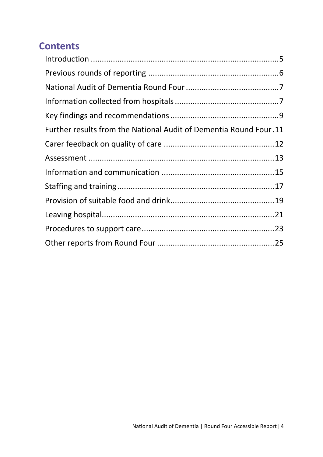# **Contents**

| Further results from the National Audit of Dementia Round Four.11 |  |
|-------------------------------------------------------------------|--|
|                                                                   |  |
|                                                                   |  |
|                                                                   |  |
|                                                                   |  |
|                                                                   |  |
|                                                                   |  |
|                                                                   |  |
|                                                                   |  |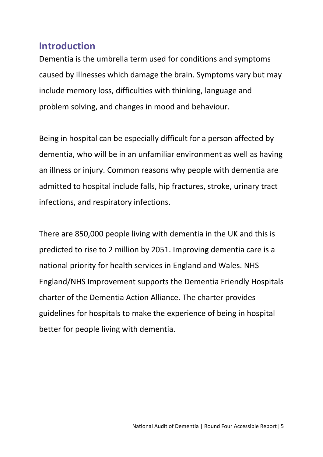## <span id="page-4-0"></span>**Introduction**

Dementia is the umbrella term used for conditions and symptoms caused by illnesses which damage the brain. Symptoms vary but may include memory loss, difficulties with thinking, language and problem solving, and changes in mood and behaviour.

Being in hospital can be especially difficult for a person affected by dementia, who will be in an unfamiliar environment as well as having an illness or injury. Common reasons why people with dementia are admitted to hospital include falls, hip fractures, stroke, urinary tract infections, and respiratory infections.

There are 850,000 people living with dementia in the UK and this is predicted to rise to 2 million by 2051. Improving dementia care is a national priority for health services in England and Wales. NHS England/NHS Improvement supports the Dementia Friendly Hospitals charter of the Dementia Action Alliance. The charter provides guidelines for hospitals to make the experience of being in hospital better for people living with dementia.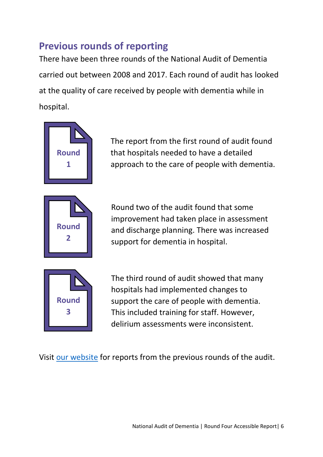# <span id="page-5-0"></span>**Previous rounds of reporting**

There have been three rounds of the National Audit of Dementia carried out between 2008 and 2017. Each round of audit has looked at the quality of care received by people with dementia while in hospital.



The report from the first round of audit found that hospitals needed to have a detailed approach to the care of people with dementia.

Round two of the audit found that some improvement had taken place in assessment and discharge planning. There was increased support for dementia in hospital.



The third round of audit showed that many hospitals had implemented changes to support the care of people with dementia. This included training for staff. However, delirium assessments were inconsistent.

Visit [our website](https://www.rcpsych.ac.uk/events/improving-care/ccqi/national-clinical-audits/national-audit-of-dementia/nad-reports-and-resources) for reports from the previous rounds of the audit.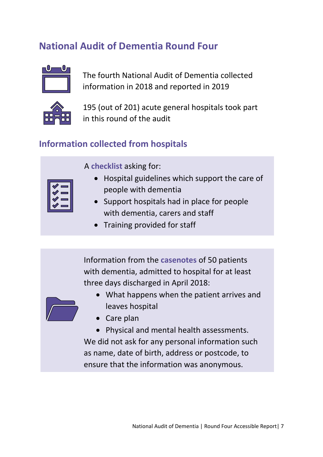# <span id="page-6-0"></span>**National Audit of Dementia Round Four**



The fourth National Audit of Dementia collected information in 2018 and reported in 2019



195 (out of 201) acute general hospitals took part in this round of the audit

## <span id="page-6-1"></span>**Information collected from hospitals**

A **checklist** asking for:

- Hospital guidelines which support the care of people with dementia
- Support hospitals had in place for people with dementia, carers and staff
- Training provided for staff

Information from the **casenotes** of 50 patients with dementia, admitted to hospital for at least three days discharged in April 2018:



- What happens when the patient arrives and leaves hospital
- Care plan

• Physical and mental health assessments. We did not ask for any personal information such as name, date of birth, address or postcode, to ensure that the information was anonymous.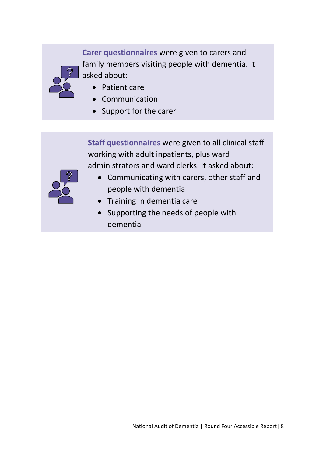**Carer questionnaires** were given to carers and family members visiting people with dementia. It asked about:

- Patient care
- **Communication**
- Support for the carer

**Staff questionnaires** were given to all clinical staff working with adult inpatients, plus ward administrators and ward clerks. It asked about:



- Communicating with carers, other staff and people with dementia
- Training in dementia care
- Supporting the needs of people with dementia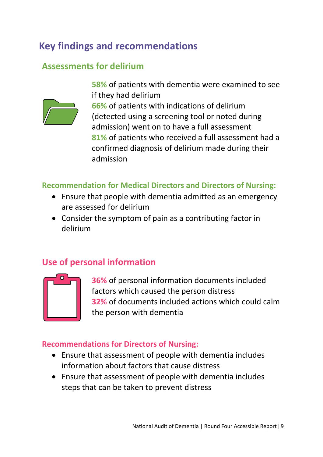## <span id="page-8-0"></span>**Key findings and recommendations**

## **Assessments for delirium**



**58%** of patients with dementia were examined to see if they had delirium

**66%** of patients with indications of delirium (detected using a screening tool or noted during admission) went on to have a full assessment **81%** of patients who received a full assessment had a confirmed diagnosis of delirium made during their admission

#### **Recommendation for Medical Directors and Directors of Nursing:**

- Ensure that people with dementia admitted as an emergency are assessed for delirium
- Consider the symptom of pain as a contributing factor in delirium

## **Use of personal information**



**36%** of personal information documents included factors which caused the person distress **32%** of documents included actions which could calm the person with dementia

#### **Recommendations for Directors of Nursing:**

- Ensure that assessment of people with dementia includes information about factors that cause distress
- Ensure that assessment of people with dementia includes steps that can be taken to prevent distress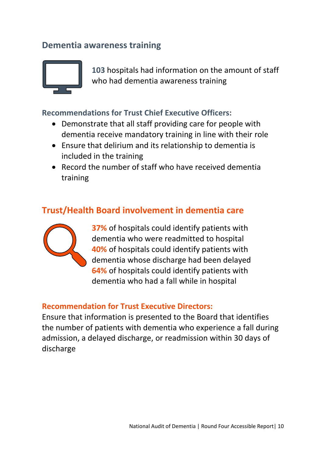## **Dementia awareness training**



**103** hospitals had information on the amount of staff who had dementia awareness training

#### **Recommendations for Trust Chief Executive Officers:**

- Demonstrate that all staff providing care for people with dementia receive mandatory training in line with their role
- Ensure that delirium and its relationship to dementia is included in the training
- Record the number of staff who have received dementia training

## **Trust/Health Board involvement in dementia care**



**37%** of hospitals could identify patients with dementia who were readmitted to hospital **40%** of hospitals could identify patients with dementia whose discharge had been delayed **64%** of hospitals could identify patients with dementia who had a fall while in hospital

#### **Recommendation for Trust Executive Directors:**

Ensure that information is presented to the Board that identifies the number of patients with dementia who experience a fall during admission, a delayed discharge, or readmission within 30 days of discharge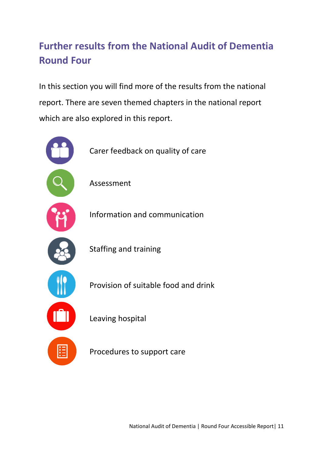# <span id="page-10-0"></span>**Further results from the National Audit of Dementia Round Four**

In this section you will find more of the results from the national report. There are seven themed chapters in the national report which are also explored in this report.



National Audit of Dementia | Round Four Accessible Report| 11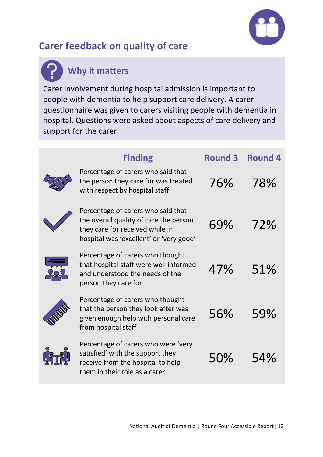

# <span id="page-11-0"></span>**Carer feedback on quality of care**

# **Why it matters**

Carer involvement during hospital admission is important to people with dementia to help support care delivery. A carer questionnaire was given to carers visiting people with dementia in hospital. Questions were asked about aspects of care delivery and support for the carer.

| <b>Finding</b>                                                                                                                                             | <b>Round 3</b> | <b>Round 4</b> |
|------------------------------------------------------------------------------------------------------------------------------------------------------------|----------------|----------------|
| Percentage of carers who said that<br>the person they care for was treated<br>with respect by hospital staff                                               | 76%            | 78%            |
| Percentage of carers who said that<br>the overall quality of care the person<br>they care for received while in<br>hospital was 'excellent' or 'very good' | 69%            | 72%            |
| Percentage of carers who thought<br>that hospital staff were well informed<br>and understood the needs of the<br>person they care for                      | 47%            | 51%            |
| Percentage of carers who thought<br>that the person they look after was<br>given enough help with personal care<br>from hospital staff                     | 56%            | 59%            |
| Percentage of carers who were 'very<br>satisfied' with the support they<br>receive from the hospital to help<br>them in their role as a carer              | 50%            | 54%            |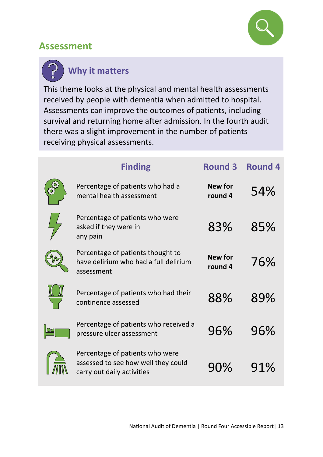

## <span id="page-12-0"></span>**Assessment**

# **Why it matters**

This theme looks at the physical and mental health assessments received by people with dementia when admitted to hospital. Assessments can improve the outcomes of patients, including survival and returning home after admission. In the fourth audit there was a slight improvement in the number of patients receiving physical assessments.

| <b>Finding</b>                                                                                       | <b>Round 3</b>            | <b>Round 4</b> |
|------------------------------------------------------------------------------------------------------|---------------------------|----------------|
| Percentage of patients who had a<br>mental health assessment                                         | <b>New for</b><br>round 4 | 54%            |
| Percentage of patients who were<br>asked if they were in<br>any pain                                 | 83%                       | 85%            |
| Percentage of patients thought to<br>have delirium who had a full delirium<br>assessment             | <b>New for</b><br>round 4 | 76%            |
| Percentage of patients who had their<br>continence assessed                                          | 88%                       | 89%            |
| Percentage of patients who received a<br>pressure ulcer assessment                                   | 96%                       | 96%            |
| Percentage of patients who were<br>assessed to see how well they could<br>carry out daily activities | 90%                       | 91%            |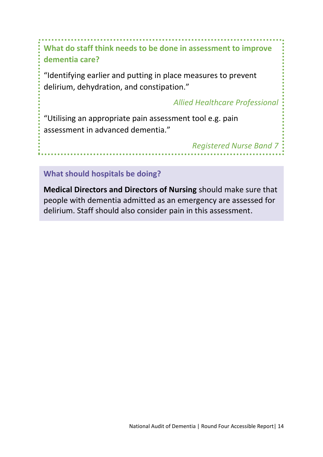**What do staff think needs to be done in assessment to improve dementia care?**

**\*\*\*\*\*\*\*\*\*\*\*** 

"Identifying earlier and putting in place measures to prevent delirium, dehydration, and constipation."

*Allied Healthcare Professional*

"Utilising an appropriate pain assessment tool e.g. pain assessment in advanced dementia."

*Registered Nurse Band 7*

**What should hospitals be doing?**

**Medical Directors and Directors of Nursing** should make sure that people with dementia admitted as an emergency are assessed for delirium. Staff should also consider pain in this assessment.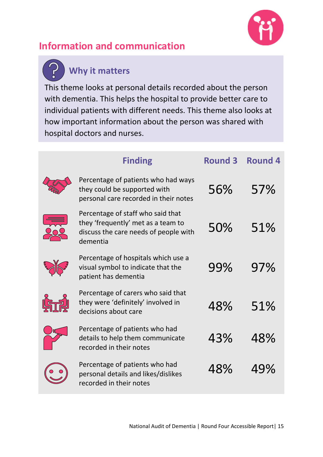

# <span id="page-14-0"></span>**Information and communication**

# **Why it matters**

This theme looks at personal details recorded about the person with dementia. This helps the hospital to provide better care to individual patients with different needs. This theme also looks at how important information about the person was shared with hospital doctors and nurses.

| <b>Finding</b>                                                                                                               | <b>Round 3</b> | <b>Round 4</b> |
|------------------------------------------------------------------------------------------------------------------------------|----------------|----------------|
| Percentage of patients who had ways<br>they could be supported with<br>personal care recorded in their notes                 | 56%            | 57%            |
| Percentage of staff who said that<br>they 'frequently' met as a team to<br>discuss the care needs of people with<br>dementia | 50%            | 51%            |
| Percentage of hospitals which use a<br>visual symbol to indicate that the<br>patient has dementia                            | 99%            | 97%            |
| Percentage of carers who said that<br>they were 'definitely' involved in<br>decisions about care                             | 48%            | 51%            |
| Percentage of patients who had<br>details to help them communicate<br>recorded in their notes                                | 43%            | 48%            |
| Percentage of patients who had<br>personal details and likes/dislikes<br>recorded in their notes                             | 48%            | 49%            |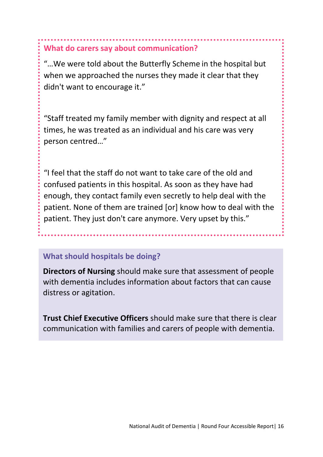## **What do carers say about communication?**

"…We were told about the Butterfly Scheme in the hospital but when we approached the nurses they made it clear that they didn't want to encourage it."

"Staff treated my family member with dignity and respect at all times, he was treated as an individual and his care was very person centred…"

"I feel that the staff do not want to take care of the old and confused patients in this hospital. As soon as they have had enough, they contact family even secretly to help deal with the patient. None of them are trained [or] know how to deal with the patient. They just don't care anymore. Very upset by this."

### **What should hospitals be doing?**

**Directors of Nursing** should make sure that assessment of people with dementia includes information about factors that can cause distress or agitation.

**Trust Chief Executive Officers** should make sure that there is clear communication with families and carers of people with dementia.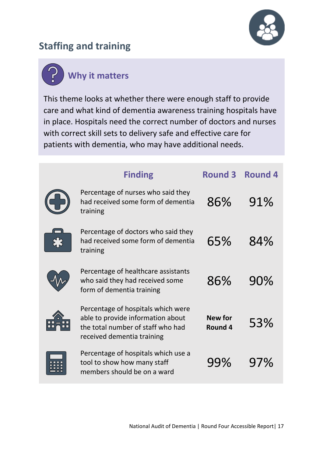

# <span id="page-16-0"></span>**Staffing and training**



This theme looks at whether there were enough staff to provide care and what kind of dementia awareness training hospitals have in place. Hospitals need the correct number of doctors and nurses with correct skill sets to delivery safe and effective care for patients with dementia, who may have additional needs.

| <b>Finding</b>                                                                                                                             | <b>Round 3</b>            | <b>Round 4</b> |
|--------------------------------------------------------------------------------------------------------------------------------------------|---------------------------|----------------|
| Percentage of nurses who said they<br>had received some form of dementia<br>training                                                       | 86%                       | 91%            |
| Percentage of doctors who said they<br>had received some form of dementia<br>training                                                      | 65%                       | 84%            |
| Percentage of healthcare assistants<br>who said they had received some<br>form of dementia training                                        | 86%                       | 90%            |
| Percentage of hospitals which were<br>able to provide information about<br>the total number of staff who had<br>received dementia training | <b>New for</b><br>Round 4 | 53%            |
| Percentage of hospitals which use a<br>tool to show how many staff<br>members should be on a ward                                          | 99%                       | 97%            |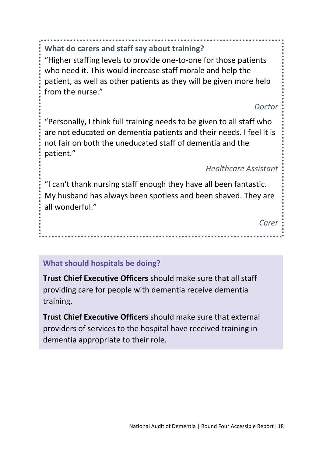**What do carers and staff say about training?**

"Higher staffing levels to provide one-to-one for those patients who need it. This would increase staff morale and help the patient, as well as other patients as they will be given more help from the nurse."

*Doctor*

"Personally, I think full training needs to be given to all staff who are not educated on dementia patients and their needs. I feel it is not fair on both the uneducated staff of dementia and the patient."

### *Healthcare Assistant*

"I can't thank nursing staff enough they have all been fantastic. My husband has always been spotless and been shaved. They are all wonderful."

. . . . . . . . . . . . . . . . . . . .

*Carer*

#### **What should hospitals be doing?**

**Trust Chief Executive Officers** should make sure that all staff providing care for people with dementia receive dementia training.

**Trust Chief Executive Officers** should make sure that external providers of services to the hospital have received training in dementia appropriate to their role.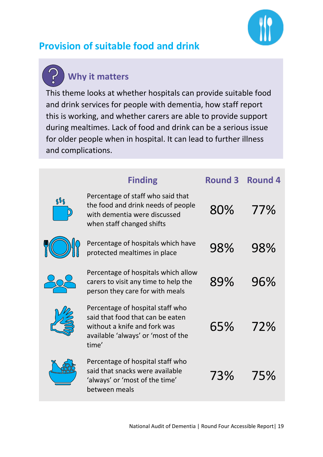

# <span id="page-18-0"></span>**Provision of suitable food and drink**

# **Why it matters**

This theme looks at whether hospitals can provide suitable food and drink services for people with dementia, how staff report this is working, and whether carers are able to provide support during mealtimes. Lack of food and drink can be a serious issue for older people when in hospital. It can lead to further illness and complications.

|       | <b>Finding</b>                                                                                                                                      | <b>Round 3</b> | <b>Round 4</b> |
|-------|-----------------------------------------------------------------------------------------------------------------------------------------------------|----------------|----------------|
| $8\%$ | Percentage of staff who said that<br>the food and drink needs of people<br>with dementia were discussed<br>when staff changed shifts                | 80%            | 77%            |
|       | Percentage of hospitals which have<br>protected mealtimes in place                                                                                  | 98%            | 98%            |
|       | Percentage of hospitals which allow<br>carers to visit any time to help the<br>person they care for with meals                                      | 89%            | 96%            |
|       | Percentage of hospital staff who<br>said that food that can be eaten<br>without a knife and fork was<br>available 'always' or 'most of the<br>time' | 65%            | 72%            |
|       | Percentage of hospital staff who<br>said that snacks were available<br>'always' or 'most of the time'<br>between meals                              | 73%            | 75%            |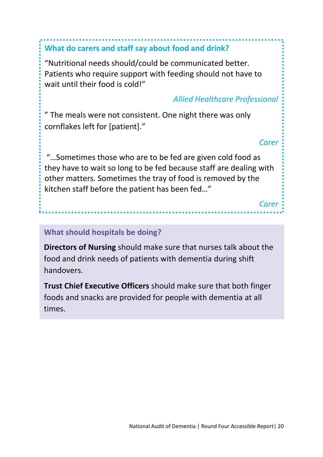## **What do carers and staff say about food and drink?**

"Nutritional needs should/could be communicated better. Patients who require support with feeding should not have to wait until their food is cold!"

### *Allied Healthcare Professional*

" The meals were not consistent. One night there was only cornflakes left for [patient]."

*Carer*

"…Sometimes those who are to be fed are given cold food as they have to wait so long to be fed because staff are dealing with other matters. Sometimes the tray of food is removed by the kitchen staff before the patient has been fed…"

*Carer*

#### **What should hospitals be doing?**

**Directors of Nursing** should make sure that nurses talk about the food and drink needs of patients with dementia during shift handovers.

<span id="page-19-0"></span>**Trust Chief Executive Officers** should make sure that both finger foods and snacks are provided for people with dementia at all times.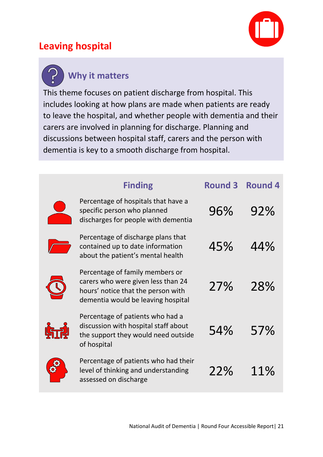## **Leaving hospital**



**Why it matters**

This theme focuses on patient discharge from hospital. This includes looking at how plans are made when patients are ready to leave the hospital, and whether people with dementia and their carers are involved in planning for discharge. Planning and discussions between hospital staff, carers and the person with dementia is key to a smooth discharge from hospital.

| <b>Finding</b>                                                                                                                                    | <b>Round 3</b> | <b>Round 4</b> |
|---------------------------------------------------------------------------------------------------------------------------------------------------|----------------|----------------|
| Percentage of hospitals that have a<br>specific person who planned<br>discharges for people with dementia                                         | 96%            | 92%            |
| Percentage of discharge plans that<br>contained up to date information<br>about the patient's mental health                                       | 45%            | 44%            |
| Percentage of family members or<br>carers who were given less than 24<br>hours' notice that the person with<br>dementia would be leaving hospital | 27%            | 28%            |
| Percentage of patients who had a<br>discussion with hospital staff about<br>the support they would need outside<br>of hospital                    | 54%            | 57%            |
| Percentage of patients who had their<br>level of thinking and understanding<br>assessed on discharge                                              | 22%            | 11%            |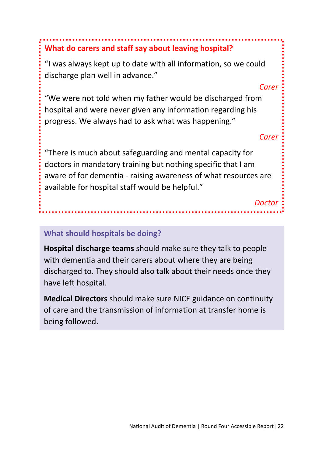## **What do carers and staff say about leaving hospital?**

"I was always kept up to date with all information, so we could discharge plan well in advance."

#### *Carer*

"We were not told when my father would be discharged from hospital and were never given any information regarding his progress. We always had to ask what was happening."

*Carer*

"There is much about safeguarding and mental capacity for doctors in mandatory training but nothing specific that I am aware of for dementia - raising awareness of what resources are available for hospital staff would be helpful."

*Doctor*

#### **What should hospitals be doing?**

**Hospital discharge teams** should make sure they talk to people with dementia and their carers about where they are being discharged to. They should also talk about their needs once they have left hospital.

**Medical Directors** should make sure NICE guidance on continuity of care and the transmission of information at transfer home is being followed.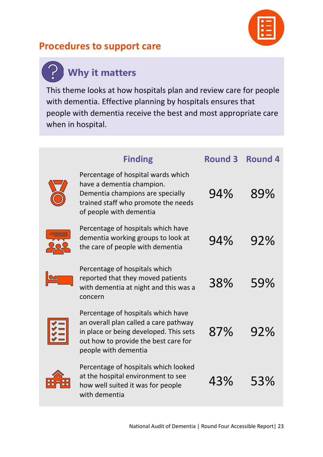

## <span id="page-22-0"></span>**Procedures to support care**

#### **Why it matters** $\mathbf{r}$

This theme looks at how hospitals plan and review care for people with dementia. Effective planning by hospitals ensures that people with dementia receive the best and most appropriate care when in hospital.

| <b>Finding</b>                                                                                                                                                                        | <b>Round 3</b> | <b>Round 4</b> |
|---------------------------------------------------------------------------------------------------------------------------------------------------------------------------------------|----------------|----------------|
| Percentage of hospital wards which<br>have a dementia champion.<br>Dementia champions are specially<br>trained staff who promote the needs<br>of people with dementia                 | 94%            | 89%            |
| Percentage of hospitals which have<br>dementia working groups to look at<br>the care of people with dementia                                                                          | 94%            | 92%            |
| Percentage of hospitals which<br>reported that they moved patients<br>with dementia at night and this was a<br>concern                                                                | 38%            | 59%            |
| Percentage of hospitals which have<br>an overall plan called a care pathway<br>in place or being developed. This sets<br>out how to provide the best care for<br>people with dementia | 87%            | 92%            |
| Percentage of hospitals which looked<br>at the hospital environment to see<br>how well suited it was for people<br>with dementia                                                      | 43%            | 53%            |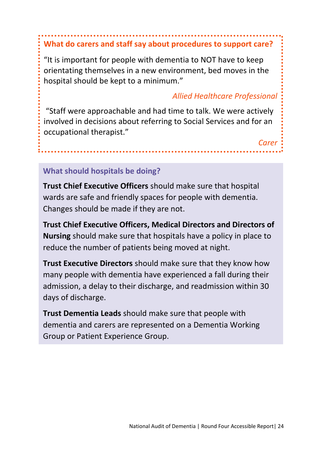# **What do carers and staff say about procedures to support care?**

"It is important for people with dementia to NOT have to keep orientating themselves in a new environment, bed moves in the hospital should be kept to a minimum."

#### *Allied Healthcare Professional*

*Carer*

"Staff were approachable and had time to talk. We were actively involved in decisions about referring to Social Services and for an occupational therapist."

### **What should hospitals be doing?**

**Trust Chief Executive Officers** should make sure that hospital wards are safe and friendly spaces for people with dementia. Changes should be made if they are not.

**Trust Chief Executive Officers, Medical Directors and Directors of Nursing** should make sure that hospitals have a policy in place to reduce the number of patients being moved at night.

**Trust Executive Directors** should make sure that they know how many people with dementia have experienced a fall during their admission, a delay to their discharge, and readmission within 30 days of discharge.

**Trust Dementia Leads** should make sure that people with dementia and carers are represented on a Dementia Working Group or Patient Experience Group.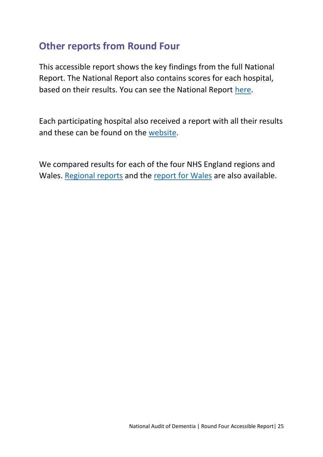## <span id="page-24-0"></span>**Other reports from Round Four**

This accessible report shows the key findings from the full National Report. The National Report also contains scores for each hospital, based on their results. You can see the National Report [here.](https://www.rcpsych.ac.uk/docs/default-source/improving-care/ccqi/national-clinical-audits/national-audit-of-dementia/r4-resources/national-audit-of-dementia-round-4-report-online.pdf?sfvrsn=f75c5b75_6)

Each participating hospital also received a report with all their results and these can be found on the [website.](https://www.rcpsych.ac.uk/events/improving-care/ccqi/national-clinical-audits/national-audit-of-dementia/audit-round-4/local-reports)

We compared results for each of the four NHS England regions and Wales. [Regional reports](https://www.rcpsych.ac.uk/improving-care/ccqi/national-clinical-audits/national-audit-of-dementia/audit-round-4/regional-reports) and the [report for Wales](https://www.rcpsych.ac.uk/docs/default-source/improving-care/ccqi/national-clinical-audits/national-audit-of-dementia/r4-resources/regional-reports/wales-round-4-report.pdf?sfvrsn=bb8b6db4_2) are also available.